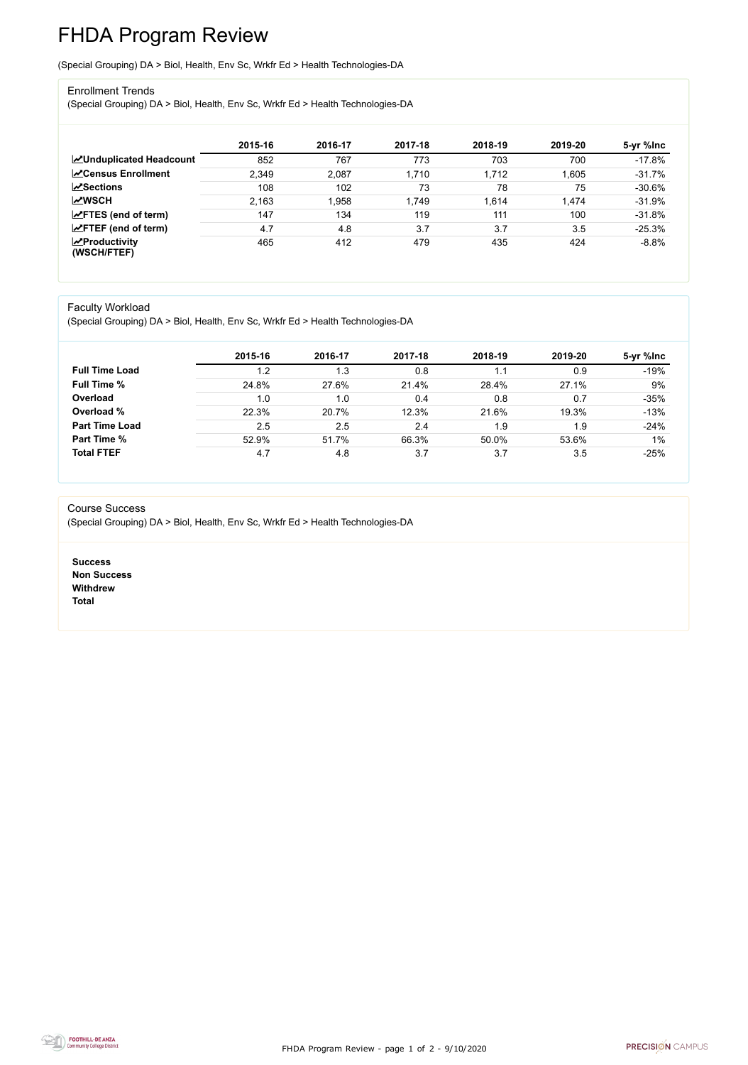FHDA Program Review - page 1 of 2 - 9/10/2020



# FHDA Program Review

(Special Grouping) DA > Biol, Health, Env Sc, Wrkfr Ed > Health Technologies-DA

### Enrollment Trends

(Special Grouping) DA > Biol, Health, Env Sc, Wrkfr Ed > Health Technologies-DA

|                                                  | 2015-16 | 2016-17 | 2017-18 | 2018-19 | 2019-20 | 5-yr %lnc |
|--------------------------------------------------|---------|---------|---------|---------|---------|-----------|
| <b>ZUnduplicated Headcount</b>                   | 852     | 767     | 773     | 703     | 700     | $-17.8%$  |
| <b>∠</b> Census Enrollment                       | 2,349   | 2,087   | 1,710   | 1,712   | 1,605   | $-31.7%$  |
| <b>ZSections</b>                                 | 108     | 102     | 73      | 78      | 75      | $-30.6%$  |
| <b>MWSCH</b>                                     | 2,163   | .958    | 1,749   | 1,614   | 1,474   | $-31.9%$  |
| $\angle$ FTES (end of term)                      | 147     | 134     | 119     | 111     | 100     | $-31.8%$  |
| $\angle$ FTEF (end of term)                      | 4.7     | 4.8     | 3.7     | 3.7     | 3.5     | $-25.3%$  |
| $\sqrt{\frac{1}{2}}$ Productivity<br>(WSCH/FTEF) | 465     | 412     | 479     | 435     | 424     | $-8.8%$   |

#### Faculty Workload

(Special Grouping) DA > Biol, Health, Env Sc, Wrkfr Ed > Health Technologies-DA

|                       | 2015-16 | 2016-17 | 2017-18 | 2018-19 | 2019-20 | 5-yr %lnc |
|-----------------------|---------|---------|---------|---------|---------|-----------|
| <b>Full Time Load</b> | 1.2     | 1.3     | 0.8     |         | 0.9     | $-19%$    |
| <b>Full Time %</b>    | 24.8%   | 27.6%   | 21.4%   | 28.4%   | 27.1%   | 9%        |
| Overload              | 1.0     | 1.0     | 0.4     | 0.8     | 0.7     | $-35%$    |
| Overload %            | 22.3%   | 20.7%   | 12.3%   | 21.6%   | 19.3%   | $-13%$    |
| <b>Part Time Load</b> | 2.5     | 2.5     | 2.4     | 1.9     | 1.9     | $-24%$    |
| <b>Part Time %</b>    | 52.9%   | 51.7%   | 66.3%   | 50.0%   | 53.6%   | $1\%$     |
| <b>Total FTEF</b>     | 4.7     | 4.8     | 3.7     | 3.7     | 3.5     | $-25%$    |

#### Course Success

(Special Grouping) DA > Biol, Health, Env Sc, Wrkfr Ed > Health Technologies-DA

**Success Non Success Withdrew Total**